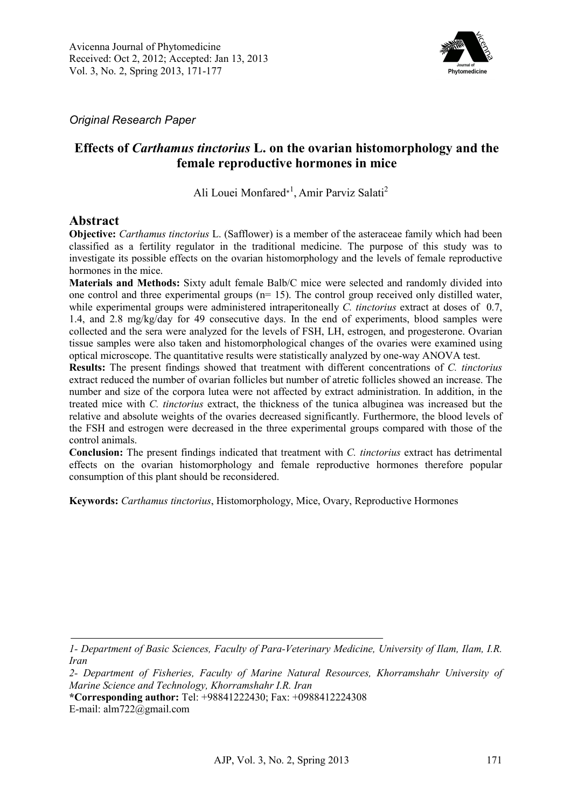

*Original Research Paper* 

# **Effects of** *Carthamus tinctorius* **L. on the ovarian histomorphology and the female reproductive hormones in mice**

Ali Louei Monfared<sup>∗1</sup>, Amir Parviz Salati<sup>2</sup>

#### **Abstract**

**Objective:** *Carthamus tinctorius* L. (Safflower) is a member of the asteraceae family which had been classified as a fertility regulator in the traditional medicine. The purpose of this study was to investigate its possible effects on the ovarian histomorphology and the levels of female reproductive hormones in the mice.

**Materials and Methods:** Sixty adult female Balb/C mice were selected and randomly divided into one control and three experimental groups (n= 15). The control group received only distilled water, while experimental groups were administered intraperitoneally *C. tinctorius* extract at doses of 0.7, 1.4, and 2.8 mg/kg/day for 49 consecutive days. In the end of experiments, blood samples were collected and the sera were analyzed for the levels of FSH, LH, estrogen, and progesterone. Ovarian tissue samples were also taken and histomorphological changes of the ovaries were examined using optical microscope. The quantitative results were statistically analyzed by one-way ANOVA test.

**Results:** The present findings showed that treatment with different concentrations of *C. tinctorius* extract reduced the number of ovarian follicles but number of atretic follicles showed an increase. The number and size of the corpora lutea were not affected by extract administration. In addition, in the treated mice with *C. tinctorius* extract, the thickness of the tunica albuginea was increased but the relative and absolute weights of the ovaries decreased significantly. Furthermore, the blood levels of the FSH and estrogen were decreased in the three experimental groups compared with those of the control animals.

**Conclusion:** The present findings indicated that treatment with *C. tinctorius* extract has detrimental effects on the ovarian histomorphology and female reproductive hormones therefore popular consumption of this plant should be reconsidered.

**Keywords:** *Carthamus tinctorius*, Histomorphology, Mice, Ovary, Reproductive Hormones

*<sup>1-</sup> Department of Basic Sciences, Faculty of Para-Veterinary Medicine, University of Ilam, Ilam, I.R. Iran* 

*<sup>2-</sup> Department of Fisheries, Faculty of Marine Natural Resources, Khorramshahr University of Marine Science and Technology, Khorramshahr I.R. Iran*

**<sup>\*</sup>Corresponding author:** Tel: +98841222430; Fax: +0988412224308

E-mail: alm722@gmail.com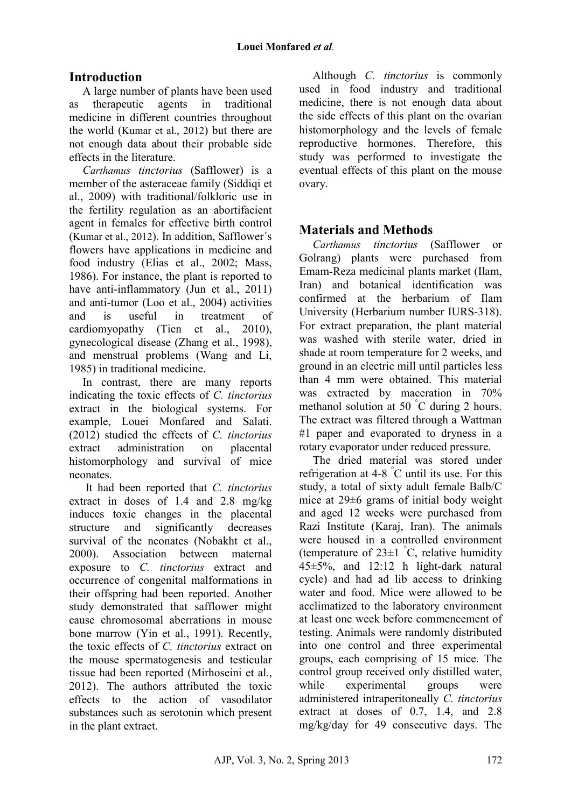# **Introduction**

A large number of plants have been used as therapeutic agents in traditional medicine in different countries throughout the world (Kumar et al., 2012) but there are not enough data about their probable side effects in the literature.

*Carthamus tinctorius* (Safflower) is a member of the asteraceae family (Siddiqi et al., 2009) with traditional/folkloric use in the fertility regulation as an abortifacient agent in females for effective birth control (Kumar et al., 2012). In addition, Safflower´s flowers have applications in medicine and food industry (Elias et al., 2002; Mass, 1986). For instance, the plant is reported to have anti-inflammatory (Jun et al., 2011) and anti-tumor (Loo et al., 2004) activities and is useful in treatment of cardiomyopathy (Tien et al., 2010), gynecological disease (Zhang et al., 1998), and menstrual problems (Wang and Li, 1985) in traditional medicine.

In contrast, there are many reports indicating the toxic effects of *C. tinctorius* extract in the biological systems. For example, Louei Monfared and Salati. (2012) studied the effects of *C. tinctorius* extract administration on placental histomorphology and survival of mice neonates.

 It had been reported that *C. tinctorius*  extract in doses of 1.4 and 2.8 mg/kg induces toxic changes in the placental structure and significantly decreases survival of the neonates (Nobakht et al., 2000). Association between maternal exposure to *C. tinctorius* extract and occurrence of congenital malformations in their offspring had been reported. Another study demonstrated that safflower might cause chromosomal aberrations in mouse bone marrow (Yin et al., 1991). Recently, the toxic effects of *C. tinctorius* extract on the mouse spermatogenesis and testicular tissue had been reported (Mirhoseini et al., 2012). The authors attributed the toxic effects to the action of vasodilator substances such as serotonin which present in the plant extract.

Although *C. tinctorius* is commonly used in food industry and traditional medicine, there is not enough data about the side effects of this plant on the ovarian histomorphology and the levels of female reproductive hormones. Therefore, this study was performed to investigate the eventual effects of this plant on the mouse ovary.

# **Materials and Methods**

*Carthamus tinctorius* (Safflower or Golrang) plants were purchased from Emam-Reza medicinal plants market (Ilam, Iran) and botanical identification was confirmed at the herbarium of Ilam University (Herbarium number IURS-318). For extract preparation, the plant material was washed with sterile water, dried in shade at room temperature for 2 weeks, and ground in an electric mill until particles less than 4 mm were obtained. This material was extracted by maceration in 70% methanol solution at 50 °C during 2 hours. The extract was filtered through a Wattman #1 paper and evaporated to dryness in a rotary evaporator under reduced pressure.

The dried material was stored under refrigeration at  $4-8$  °C until its use. For this study, a total of sixty adult female Balb/C mice at 29±6 grams of initial body weight and aged 12 weeks were purchased from Razi Institute (Karaj, Iran). The animals were housed in a controlled environment (temperature of  $23\pm1$  °C, relative humidity 45±5%, and 12:12 h light-dark natural cycle) and had ad lib access to drinking water and food. Mice were allowed to be acclimatized to the laboratory environment at least one week before commencement of testing. Animals were randomly distributed into one control and three experimental groups, each comprising of 15 mice. The control group received only distilled water, while experimental groups were administered intraperitoneally *C. tinctorius* extract at doses of 0.7, 1.4, and 2.8 mg/kg/day for 49 consecutive days. The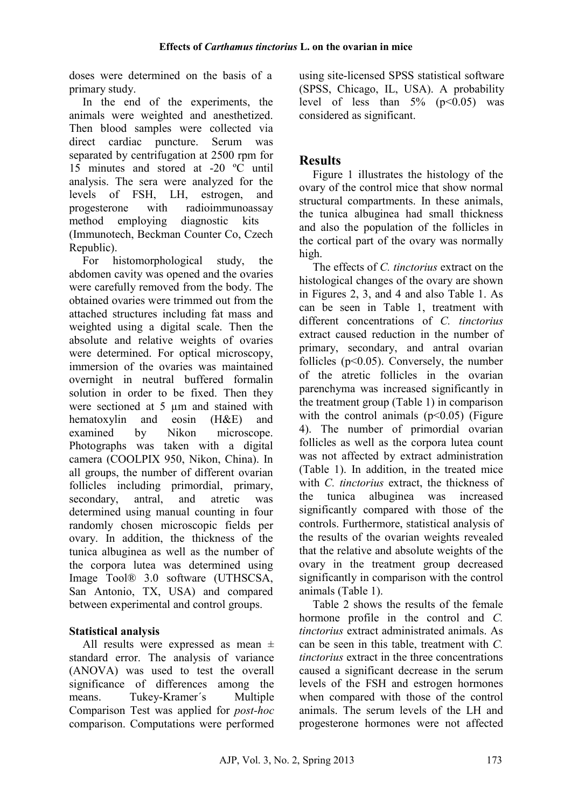doses were determined on the basis of a primary study.

In the end of the experiments, the animals were weighted and anesthetized. Then blood samples were collected via direct cardiac puncture. Serum was separated by centrifugation at 2500 rpm for 15 minutes and stored at -20 ºC until analysis. The sera were analyzed for the levels of FSH, LH, estrogen, and progesterone with radioimmunoassay method employing diagnostic kits (Immunotech, Beckman Counter Co, Czech Republic).

For histomorphological study, the abdomen cavity was opened and the ovaries were carefully removed from the body. The obtained ovaries were trimmed out from the attached structures including fat mass and weighted using a digital scale. Then the absolute and relative weights of ovaries were determined. For optical microscopy, immersion of the ovaries was maintained overnight in neutral buffered formalin solution in order to be fixed. Then they were sectioned at 5  $\mu$ m and stained with hematoxylin and eosin (H&E) and examined by Nikon microscope. Photographs was taken with a digital camera (COOLPIX 950, Nikon, China). In all groups, the number of different ovarian follicles including primordial, primary, secondary, antral, and atretic was determined using manual counting in four randomly chosen microscopic fields per ovary. In addition, the thickness of the tunica albuginea as well as the number of the corpora lutea was determined using Image Tool® 3.0 software (UTHSCSA, San Antonio, TX, USA) and compared between experimental and control groups.

### **Statistical analysis**

All results were expressed as mean ± standard error. The analysis of variance (ANOVA) was used to test the overall significance of differences among the means. Tukey-Kramer´s Multiple Comparison Test was applied for *post-hoc* comparison. Computations were performed using site-licensed SPSS statistical software (SPSS, Chicago, IL, USA). A probability level of less than  $5\%$  ( $p<0.05$ ) was considered as significant.

# **Results**

Figure 1 illustrates the histology of the ovary of the control mice that show normal structural compartments. In these animals, the tunica albuginea had small thickness and also the population of the follicles in the cortical part of the ovary was normally high.

The effects of *C. tinctorius* extract on the histological changes of the ovary are shown in Figures 2, 3, and 4 and also Table 1. As can be seen in Table 1, treatment with different concentrations of *C. tinctorius* extract caused reduction in the number of primary, secondary, and antral ovarian follicles  $(p<0.05)$ . Conversely, the number of the atretic follicles in the ovarian parenchyma was increased significantly in the treatment group (Table 1) in comparison with the control animals  $(p<0.05)$  (Figure 4). The number of primordial ovarian follicles as well as the corpora lutea count was not affected by extract administration (Table 1). In addition, in the treated mice with *C. tinctorius* extract, the thickness of the tunica albuginea was increased significantly compared with those of the controls. Furthermore, statistical analysis of the results of the ovarian weights revealed that the relative and absolute weights of the ovary in the treatment group decreased significantly in comparison with the control animals (Table 1).

Table 2 shows the results of the female hormone profile in the control and *C. tinctorius* extract administrated animals. As can be seen in this table, treatment with *C. tinctorius* extract in the three concentrations caused a significant decrease in the serum levels of the FSH and estrogen hormones when compared with those of the control animals. The serum levels of the LH and progesterone hormones were not affected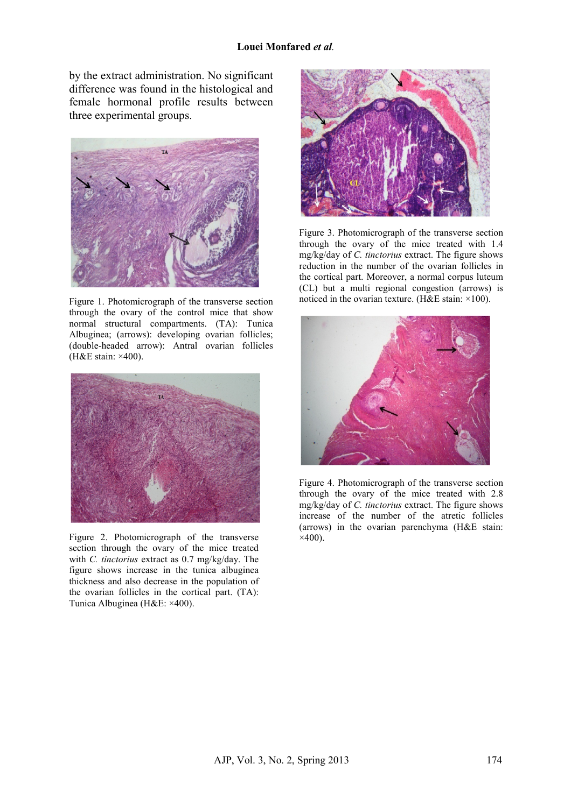by the extract administration. No significant difference was found in the histological and female hormonal profile results between three experimental groups.



Figure 1. Photomicrograph of the transverse section through the ovary of the control mice that show normal structural compartments. (TA): Tunica Albuginea; (arrows): developing ovarian follicles; (double-headed arrow): Antral ovarian follicles (H&E stain: ×400).



Figure 2. Photomicrograph of the transverse section through the ovary of the mice treated with *C. tinctorius* extract as 0.7 mg/kg/day. The figure shows increase in the tunica albuginea thickness and also decrease in the population of the ovarian follicles in the cortical part. (TA): Tunica Albuginea (H&E: ×400).



Figure 3. Photomicrograph of the transverse section through the ovary of the mice treated with 1.4 mg/kg/day of *C. tinctorius* extract. The figure shows reduction in the number of the ovarian follicles in the cortical part. Moreover, a normal corpus luteum (CL) but a multi regional congestion (arrows) is noticed in the ovarian texture. (H&E stain: ×100).



Figure 4. Photomicrograph of the transverse section through the ovary of the mice treated with 2.8 mg/kg/day of *C. tinctorius* extract. The figure shows increase of the number of the atretic follicles (arrows) in the ovarian parenchyma (H&E stain:  $\times$ 400).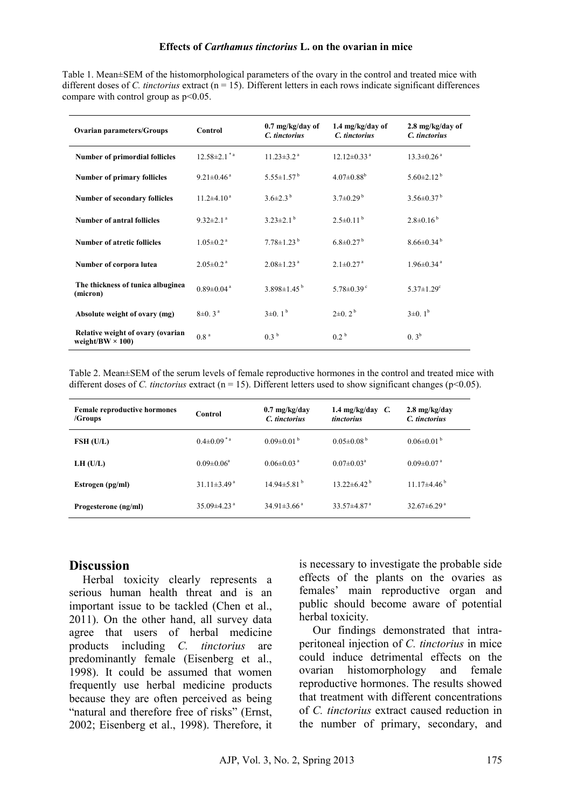Table 1. Mean±SEM of the histomorphological parameters of the ovary in the control and treated mice with different doses of *C. tinctorius* extract (n = 15). Different letters in each rows indicate significant differences compare with control group as  $p<0.05$ .

| <b>Ovarian parameters/Groups</b>                             | Control                       | $0.7 \text{ mg/kg/day of}$<br>C. tinctorius | $1.4 \text{ mg/kg/day of}$<br>C. tinctorius | $2.8 \text{ mg/kg/day of}$<br>C. tinctorius |
|--------------------------------------------------------------|-------------------------------|---------------------------------------------|---------------------------------------------|---------------------------------------------|
| <b>Number of primordial follicles</b>                        | $12.58 \pm 2.1$ <sup>*a</sup> | $11.23 \pm 3.2$ <sup>a</sup>                | $12.12\pm0.33$ <sup>a</sup>                 | $13.3 \pm 0.26$ <sup>a</sup>                |
| <b>Number of primary follicles</b>                           | $9.21 \pm 0.46$ <sup>a</sup>  | $5.55 \pm 1.57^{\mathrm{b}}$                | $4.07 \pm 0.88$ <sup>b</sup>                | $5.60 \pm 2.12^{\mathrm{b}}$                |
| <b>Number of secondary follicles</b>                         | $11.2\pm4.10^{\text{a}}$      | $3.6\pm2.3^{b}$                             | $3.7\pm0.29^{b}$                            | $3.56\pm0.37^{\mathrm{b}}$                  |
| Number of antral follicles                                   | $9.32 \pm 2.1$ <sup>a</sup>   | $3.23 \pm 2.1$ <sup>b</sup>                 | $2.5\pm0.11^{b}$                            | $2.8 \pm 0.16^{b}$                          |
| Number of atretic follicles                                  | $1.05 \pm 0.2$ <sup>a</sup>   | $7.78 \pm 1.23^{\mathrm{b}}$                | $6.8\pm0.27^{b}$                            | $8.66\pm0.34^{b}$                           |
| Number of corpora lutea                                      | $2.05 \pm 0.2$ <sup>a</sup>   | $2.08 \pm 1.23$ <sup>a</sup>                | $2.1 \pm 0.27$ <sup>a</sup>                 | $1.96 \pm 0.34$ <sup>a</sup>                |
| The thickness of tunica albuginea<br>(micron)                | $0.89 \pm 0.04$ <sup>a</sup>  | $3.898 \pm 1.45^{\mathrm{b}}$               | $5.78 \pm 0.39$ <sup>c</sup>                | $5.37 \pm 1.29$ <sup>c</sup>                |
| Absolute weight of ovary (mg)                                | $8\pm0.3^{\text{a}}$          | $3\pm0.1^{\rm b}$                           | $2\pm 0.2^{\mathrm{b}}$                     | $3\pm0.1^{\rm b}$                           |
| Relative weight of ovary (ovarian<br>weight/BW $\times$ 100) | 0.8 <sup>a</sup>              | 0.3 <sup>b</sup>                            | $0.2^{\circ}$                               | $0.3^b$                                     |

Table 2. Mean±SEM of the serum levels of female reproductive hormones in the control and treated mice with different doses of *C. tinctorius* extract ( $n = 15$ ). Different letters used to show significant changes ( $p < 0.05$ ).

| <b>Female reproductive hormones</b><br>/Groups | Control                       | $0.7 \text{ mg/kg/day}$<br>C. tinctorius | 1.4 mg/kg/day $C$ .<br>tinctorius | $2.8 \text{ mg/kg/day}$<br>C. tinctorius |
|------------------------------------------------|-------------------------------|------------------------------------------|-----------------------------------|------------------------------------------|
| FSH (U/L)                                      | $0.4 \pm 0.09$ <sup>*a</sup>  | $0.09\pm0.01^{b}$                        | $0.05 \pm 0.08^{\mathrm{b}}$      | $0.06 \pm 0.01^{\mathrm{b}}$             |
| LH (U/L)                                       | $0.09 \pm 0.06^a$             | 0.06 $\pm$ 0.03 <sup>a</sup>             | $0.07 \pm 0.03$ <sup>a</sup>      | $0.09 \pm 0.07$ <sup>a</sup>             |
| Estrogen (pg/ml)                               | $31.11 \pm 3.49^{\text{a}}$   | $14.94\pm5.81b$                          | $13.22 \pm 6.42^{\mathrm{b}}$     | $11.17\pm4.46^{\mathrm{b}}$              |
| Progesterone (ng/ml)                           | 35.09 $\pm$ 4.23 <sup>a</sup> | $34.91\pm3.66^{\text{ a}}$               | 33.57 $\pm$ 4.87 <sup>a</sup>     | $32.67\pm6.29$ <sup>a</sup>              |

#### **Discussion**

Herbal toxicity clearly represents a serious human health threat and is an important issue to be tackled (Chen et al., 2011). On the other hand, all survey data agree that users of herbal medicine products including *C. tinctorius* are predominantly female (Eisenberg et al., 1998). It could be assumed that women frequently use herbal medicine products because they are often perceived as being "natural and therefore free of risks" (Ernst, 2002; Eisenberg et al., 1998). Therefore, it is necessary to investigate the probable side effects of the plants on the ovaries as females' main reproductive organ and public should become aware of potential herbal toxicity.

Our findings demonstrated that intraperitoneal injection of *C. tinctorius* in mice could induce detrimental effects on the ovarian histomorphology and female reproductive hormones. The results showed that treatment with different concentrations of *C. tinctorius* extract caused reduction in the number of primary, secondary, and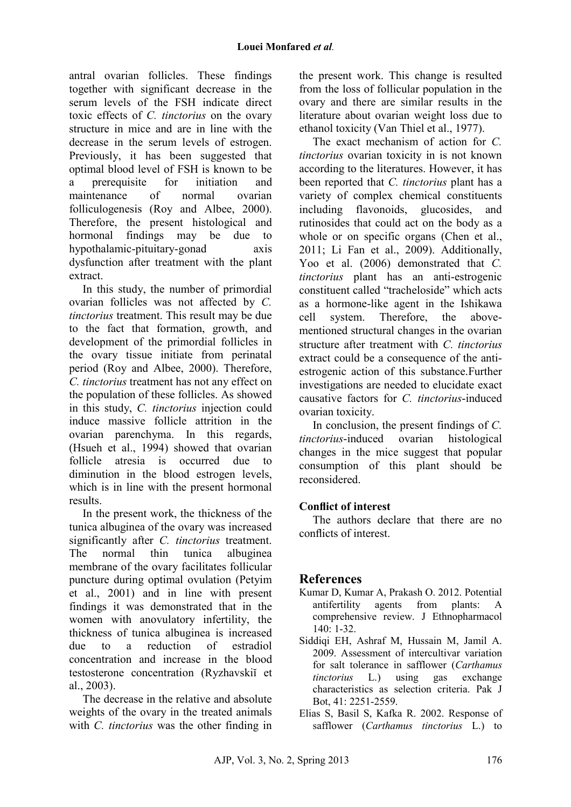antral ovarian follicles. These findings together with significant decrease in the serum levels of the FSH indicate direct toxic effects of *C. tinctorius* on the ovary structure in mice and are in line with the decrease in the serum levels of estrogen. Previously, it has been suggested that optimal blood level of FSH is known to be a prerequisite for initiation and maintenance of normal ovarian folliculogenesis (Roy and Albee, 2000). Therefore, the present histological and hormonal findings may be due to hypothalamic-pituitary-gonad axis dysfunction after treatment with the plant extract.

In this study, the number of primordial ovarian follicles was not affected by *C. tinctorius* treatment. This result may be due to the fact that formation, growth, and development of the primordial follicles in the ovary tissue initiate from perinatal period (Roy and Albee, 2000). Therefore, *C. tinctorius* treatment has not any effect on the population of these follicles. As showed in this study, *C. tinctorius* injection could induce massive follicle attrition in the ovarian parenchyma. In this regards, (Hsueh et al., 1994) showed that ovarian follicle atresia is occurred due to diminution in the blood estrogen levels, which is in line with the present hormonal results.

In the present work, the thickness of the tunica albuginea of the ovary was increased significantly after *C. tinctorius* treatment. The normal thin tunica albuginea membrane of the ovary facilitates follicular puncture during optimal ovulation (Petyim et al., 2001) and in line with present findings it was demonstrated that in the women with anovulatory infertility, the thickness of tunica albuginea is increased due to a reduction of estradiol concentration and increase in the blood testosterone concentration (Ryzhavskiĭ et al., 2003).

The decrease in the relative and absolute weights of the ovary in the treated animals with *C. tinctorius* was the other finding in the present work. This change is resulted from the loss of follicular population in the ovary and there are similar results in the literature about ovarian weight loss due to ethanol toxicity (Van Thiel et al., 1977).

The exact mechanism of action for *C. tinctorius* ovarian toxicity in is not known according to the literatures. However, it has been reported that *C. tinctorius* plant has a variety of complex chemical constituents including flavonoids, glucosides, and rutinosides that could act on the body as a whole or on specific organs (Chen et al., 2011; Li Fan et al., 2009). Additionally, Yoo et al. (2006) demonstrated that *C. tinctorius* plant has an anti-estrogenic constituent called "tracheloside" which acts as a hormone-like agent in the Ishikawa cell system. Therefore, the abovementioned structural changes in the ovarian structure after treatment with *C. tinctorius*  extract could be a consequence of the antiestrogenic action of this substance.Further investigations are needed to elucidate exact causative factors for *C. tinctorius*-induced ovarian toxicity.

In conclusion, the present findings of *C. tinctorius*-induced ovarian histological changes in the mice suggest that popular consumption of this plant should be reconsidered.

# **Conflict of interest**

The authors declare that there are no conflicts of interest.

# **References**

- Kumar D, Kumar A, Prakash O. 2012. Potential antifertility agents from plants: A comprehensive review. J Ethnopharmacol 140: 1-32.
- Siddiqi EH, Ashraf M, Hussain M, Jamil A. 2009. Assessment of intercultivar variation for salt tolerance in safflower (*Carthamus tinctorius* L.) using gas exchange characteristics as selection criteria. Pak J Bot, 41: 2251-2559.
- Elias S, Basil S, Kafka R. 2002. Response of safflower (*Carthamus tinctorius* L.) to